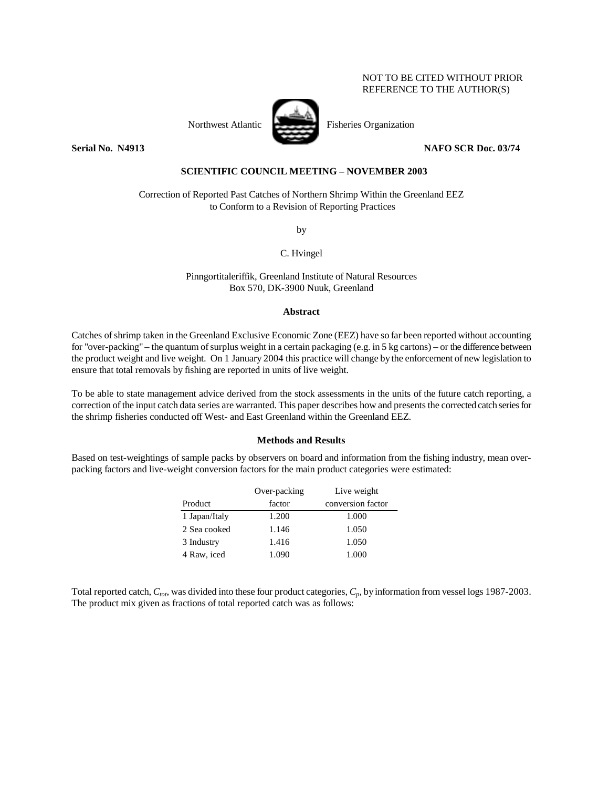## NOT TO BE CITED WITHOUT PRIOR REFERENCE TO THE AUTHOR(S)



Northwest Atlantic Fisheries Organization

**Serial No. 14913 NAFO SCR Doc. 03/74 NAFO SCR Doc. 03/74** 

## **SCIENTIFIC COUNCIL MEETING – NOVEMBER 2003**

Correction of Reported Past Catches of Northern Shrimp Within the Greenland EEZ to Conform to a Revision of Reporting Practices

by

C. Hvingel

Pinngortitaleriffik, Greenland Institute of Natural Resources Box 570, DK-3900 Nuuk, Greenland

## **Abstract**

Catches of shrimp taken in the Greenland Exclusive Economic Zone (EEZ) have so far been reported without accounting for "over-packing" – the quantum of surplus weight in a certain packaging (e.g. in 5 kg cartons) – or the difference between the product weight and live weight. On 1 January 2004 this practice will change by the enforcement of new legislation to ensure that total removals by fishing are reported in units of live weight.

To be able to state management advice derived from the stock assessments in the units of the future catch reporting, a correction of the input catch data series are warranted. This paper describes how and presents the corrected catch series for the shrimp fisheries conducted off West- and East Greenland within the Greenland EEZ.

## **Methods and Results**

Based on test-weightings of sample packs by observers on board and information from the fishing industry, mean overpacking factors and live-weight conversion factors for the main product categories were estimated:

|               | Over-packing | Live weight       |
|---------------|--------------|-------------------|
| Product       | factor       | conversion factor |
| 1 Japan/Italy | 1.200        | 1.000             |
| 2 Sea cooked  | 1.146        | 1.050             |
| 3 Industry    | 1.416        | 1.050             |
| 4 Raw, iced   | 1.090        | 1.000             |

Total reported catch,  $C_{tot}$ , was divided into these four product categories,  $C_p$ , by information from vessel logs 1987-2003. The product mix given as fractions of total reported catch was as follows: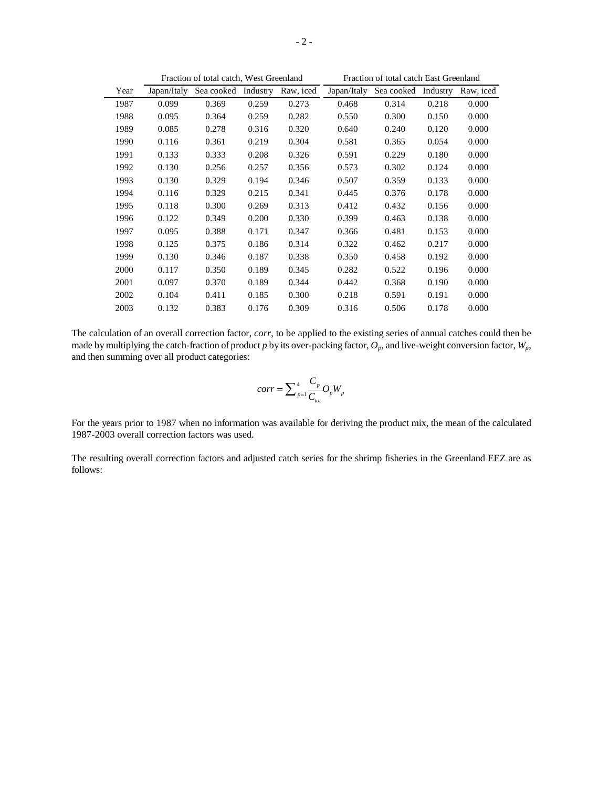|      | Fraction of total catch, West Greenland |            |          |           | Fraction of total catch East Greenland |                     |       |           |
|------|-----------------------------------------|------------|----------|-----------|----------------------------------------|---------------------|-------|-----------|
| Year | Japan/Italy                             | Sea cooked | Industry | Raw, iced | Japan/Italy                            | Sea cooked Industry |       | Raw, iced |
| 1987 | 0.099                                   | 0.369      | 0.259    | 0.273     | 0.468                                  | 0.314               | 0.218 | 0.000     |
| 1988 | 0.095                                   | 0.364      | 0.259    | 0.282     | 0.550                                  | 0.300               | 0.150 | 0.000     |
| 1989 | 0.085                                   | 0.278      | 0.316    | 0.320     | 0.640                                  | 0.240               | 0.120 | 0.000     |
| 1990 | 0.116                                   | 0.361      | 0.219    | 0.304     | 0.581                                  | 0.365               | 0.054 | 0.000     |
| 1991 | 0.133                                   | 0.333      | 0.208    | 0.326     | 0.591                                  | 0.229               | 0.180 | 0.000     |
| 1992 | 0.130                                   | 0.256      | 0.257    | 0.356     | 0.573                                  | 0.302               | 0.124 | 0.000     |
| 1993 | 0.130                                   | 0.329      | 0.194    | 0.346     | 0.507                                  | 0.359               | 0.133 | 0.000     |
| 1994 | 0.116                                   | 0.329      | 0.215    | 0.341     | 0.445                                  | 0.376               | 0.178 | 0.000     |
| 1995 | 0.118                                   | 0.300      | 0.269    | 0.313     | 0.412                                  | 0.432               | 0.156 | 0.000     |
| 1996 | 0.122                                   | 0.349      | 0.200    | 0.330     | 0.399                                  | 0.463               | 0.138 | 0.000     |
| 1997 | 0.095                                   | 0.388      | 0.171    | 0.347     | 0.366                                  | 0.481               | 0.153 | 0.000     |
| 1998 | 0.125                                   | 0.375      | 0.186    | 0.314     | 0.322                                  | 0.462               | 0.217 | 0.000     |
| 1999 | 0.130                                   | 0.346      | 0.187    | 0.338     | 0.350                                  | 0.458               | 0.192 | 0.000     |
| 2000 | 0.117                                   | 0.350      | 0.189    | 0.345     | 0.282                                  | 0.522               | 0.196 | 0.000     |
| 2001 | 0.097                                   | 0.370      | 0.189    | 0.344     | 0.442                                  | 0.368               | 0.190 | 0.000     |
| 2002 | 0.104                                   | 0.411      | 0.185    | 0.300     | 0.218                                  | 0.591               | 0.191 | 0.000     |
| 2003 | 0.132                                   | 0.383      | 0.176    | 0.309     | 0.316                                  | 0.506               | 0.178 | 0.000     |

The calculation of an overall correction factor, *corr*, to be applied to the existing series of annual catches could then be made by multiplying the catch-fraction of product  $p$  by its over-packing factor,  $O_p$ , and live-weight conversion factor,  $W_p$ , and then summing over all product categories:

$$
corr = \sum_{p=1}^{4} \frac{C_p}{C_{tot}} O_p W_p
$$

For the years prior to 1987 when no information was available for deriving the product mix, the mean of the calculated 1987-2003 overall correction factors was used.

The resulting overall correction factors and adjusted catch series for the shrimp fisheries in the Greenland EEZ are as follows: